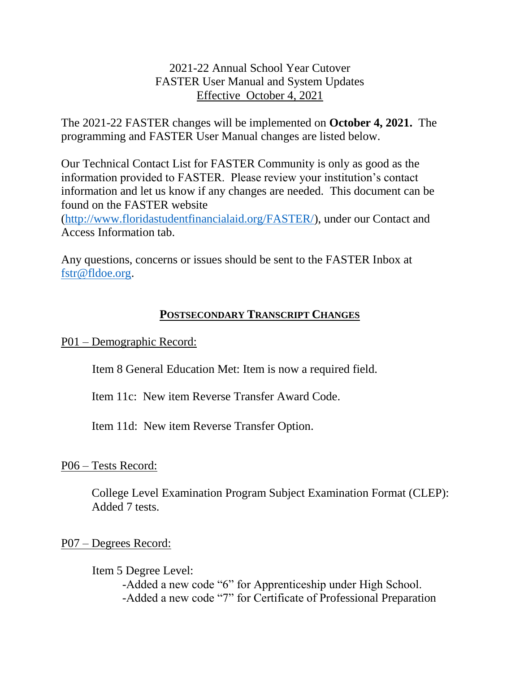## 2021-22 Annual School Year Cutover FASTER User Manual and System Updates Effective October 4, 2021

The 2021-22 FASTER changes will be implemented on **October 4, 2021.** The programming and FASTER User Manual changes are listed below.

Our Technical Contact List for FASTER Community is only as good as the information provided to FASTER. Please review your institution's contact information and let us know if any changes are needed. This document can be found on the FASTER website

[\(http://www.floridastudentfinancialaid.org/FASTER/\)](http://www.floridastudentfinancialaid.org/FASTER/), under our Contact and Access Information tab.

Any questions, concerns or issues should be sent to the FASTER Inbox at [fstr@fldoe.org.](mailto:fstr@fldoe.org)

## **POSTSECONDARY TRANSCRIPT CHANGES**

P01 – Demographic Record:

Item 8 General Education Met: Item is now a required field.

Item 11c: New item Reverse Transfer Award Code.

Item 11d: New item Reverse Transfer Option.

P06 – Tests Record:

College Level Examination Program Subject Examination Format (CLEP): Added 7 tests.

P07 – Degrees Record:

Item 5 Degree Level: -Added a new code "6" for Apprenticeship under High School. -Added a new code "7" for Certificate of Professional Preparation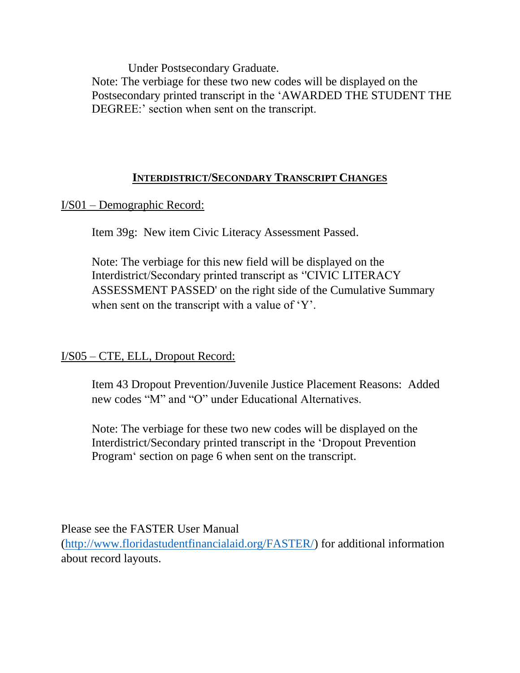Under Postsecondary Graduate.

Note: The verbiage for these two new codes will be displayed on the Postsecondary printed transcript in the 'AWARDED THE STUDENT THE DEGREE:' section when sent on the transcript.

## **INTERDISTRICT/SECONDARY TRANSCRIPT CHANGES**

I/S01 – Demographic Record:

Item 39g: New item Civic Literacy Assessment Passed.

Note: The verbiage for this new field will be displayed on the Interdistrict/Secondary printed transcript as ''CIVIC LITERACY ASSESSMENT PASSED' on the right side of the Cumulative Summary when sent on the transcript with a value of 'Y'.

## I/S05 – CTE, ELL, Dropout Record:

Item 43 Dropout Prevention/Juvenile Justice Placement Reasons: Added new codes "M" and "O" under Educational Alternatives.

Note: The verbiage for these two new codes will be displayed on the Interdistrict/Secondary printed transcript in the 'Dropout Prevention Program' section on page 6 when sent on the transcript.

Please see the FASTER User Manual

[\(http://www.floridastudentfinancialaid.org/FASTER/\)](http://www.floridastudentfinancialaid.org/FASTER/) for additional information about record layouts.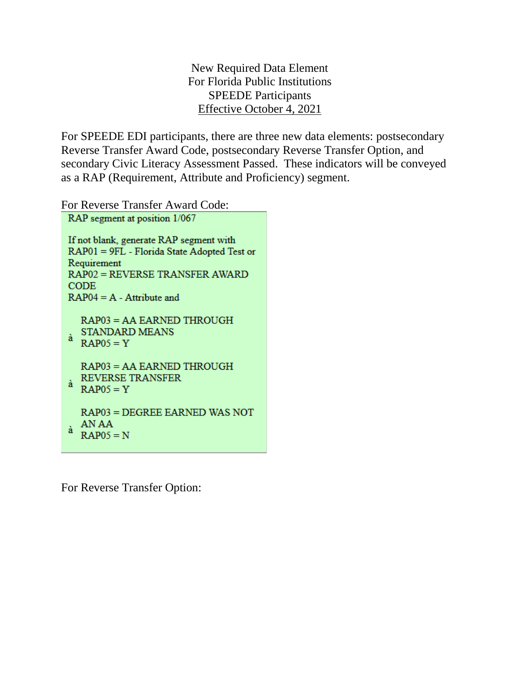New Required Data Element For Florida Public Institutions SPEEDE Participants Effective October 4, 2021

For SPEEDE EDI participants, there are three new data elements: postsecondary Reverse Transfer Award Code, postsecondary Reverse Transfer Option, and secondary Civic Literacy Assessment Passed. These indicators will be conveyed as a RAP (Requirement, Attribute and Proficiency) segment.

For Reverse Transfer Award Code:

| RAP segment at position 1/067 |                                                                                                                                                                                       |
|-------------------------------|---------------------------------------------------------------------------------------------------------------------------------------------------------------------------------------|
|                               | If not blank, generate RAP segment with<br>RAP01 = 9FL - Florida State Adopted Test or<br>Requirement<br>RAP02 = REVERSE TRANSFER AWARD<br><b>CODE</b><br>$RAP04 = A - Attribute$ and |
| à                             | RAP03 = AA EARNED THROUGH<br><b>STANDARD MEANS</b><br>$RAP05 = Y$                                                                                                                     |
| à                             | RAP03 = AA EARNED THROUGH<br><b>REVERSE TRANSFER</b><br>$RAP05 = Y$                                                                                                                   |
| à                             | RAP03 = DEGREE EARNED WAS NOT<br>AN AA<br>$RAP05 = N$                                                                                                                                 |

For Reverse Transfer Option: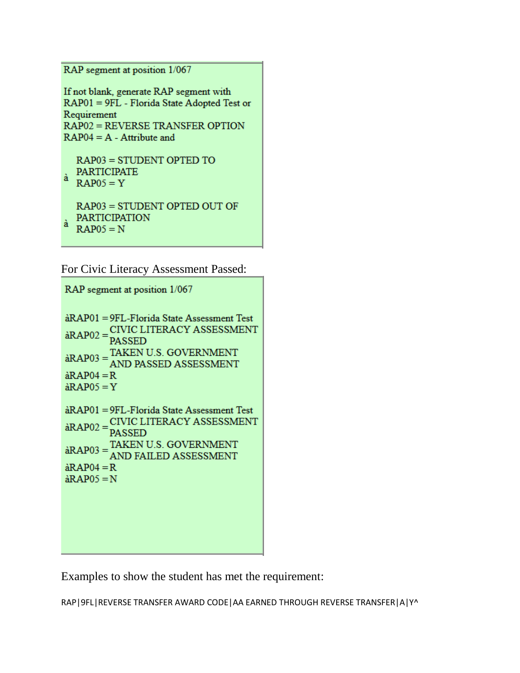RAP segment at position 1/067

If not blank, generate RAP segment with RAP01 = 9FL - Florida State Adopted Test or Requirement **RAP02 = REVERSE TRANSFER OPTION**  $RAP04 = A - Attribute$  and

 $RAP03 = STUDENT OPTED TO$ PARTICIPATE

 $\hat{a}$  RAP05 = Y

RAP03 = STUDENT OPTED OUT OF PARTICIPATION  $\hat{a}$  RAP05 = N

For Civic Literacy Assessment Passed:

RAP segment at position 1/067

àRAP01 = 9FL-Florida State Assessment Test  $\hat{R}$ AAP01 – 9FL-F1010a State Assessment Test<br> $\hat{R}$ AP02 =  $\frac{CIVIC LITERACY ASSESSMENT}{DA SSED}$ **PASSED PASSED**<br>aRAP03 =  $\frac{\text{TAKEN U.S. GOVERT} \text{N}}{\text{AND PA SSED ASSESSMENT}}$ AND PASSED ASSESSMENT  $\hat{a}$ RAP04 = R  $\hat{a}$ RAP05 = Y àRAP01 = 9FL-Florida State Assessment Test  $\hat{R}$ AAP01 – 9FL-F10110a State Assessment Test<br> $\hat{R}$ AP02 =  $\sum_{\text{DA} S \subseteq \text{ED}}$ **PASSED**  $PASSED$ <br>  $\hat{R}AP03 = \frac{\text{TAKEN U.S. GOVERNMENT}}{\text{AND EAH ED AGEESMENT}}$ AND FAILED ASSESSMENT  $\hat{a}$ RAP04 = R  $\hat{a}$ RAP05 = N

Examples to show the student has met the requirement:

RAP|9FL|REVERSE TRANSFER AWARD CODE|AA EARNED THROUGH REVERSE TRANSFER|A|Y^